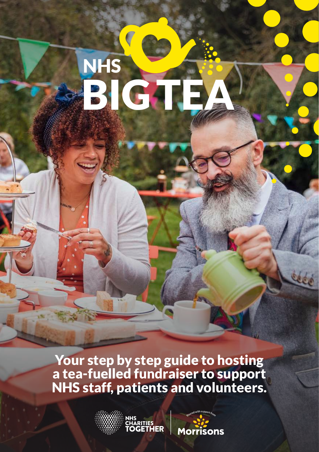# BIGTEA NHS

Your step by step guide to hosting a tea-fuelled fundraiser to support NHS staff, patients and volunteers.



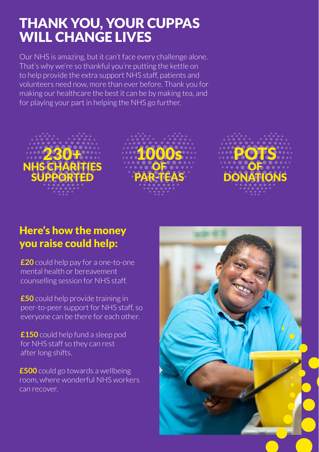# THANK YOU, YOUR CUPPAS WILL CHANGE LIVES

Our NHS is amazing, but it can't face every challenge alone. That's why we're so thankful you're putting the kettle on to help provide the extra support NHS staff, patients and volunteers need now, more than ever before. Thank you for making our healthcare the best it can be by making tea, and for playing your part in helping the NHS go further.



#### Here's how the money you raise could help:

**£20** could help pay for a one-to-one mental health or bereavement counselling session for NHS staff.

**£50** could help provide training in peer-to-peer support for NHS staff, so everyone can be there for each other.

**£150** could help fund a sleep pod for NHS staff so they can rest after long shifts.

**£500** could go towards a wellbeing room, where wonderful NHS workers can recover.

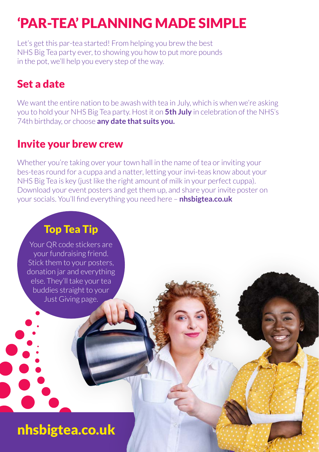# 'PAR-TEA' PLANNING MADE SIMPLE

Let's get this par-tea started! From helping you brew the best NHS Big Tea party ever, to showing you how to put more pounds in the pot, we'll help you every step of the way.

### Set a date

We want the entire nation to be awash with tea in July, which is when we're asking you to hold your NHS Big Tea party. Host it on **5th July** in celebration of the NHS's 74th birthday, or choose **any date that suits you.** 

#### Invite your brew crew

Whether you're taking over your town hall in the name of tea or inviting your bes-teas round for a cuppa and a natter, letting your invi-teas know about your NHS Big Tea is key (just like the right amount of milk in your perfect cuppa). Download your event posters and get them up, and share your invite poster on your socials. You'll find everything you need here – **nhsbigtea.co.uk**

#### Top Tea Tip

Your QR code stickers are your fundraising friend. Stick them to your posters, donation jar and everything else. They'll take your tea buddies straight to your Just Giving page.

nhsbigtea.co.uk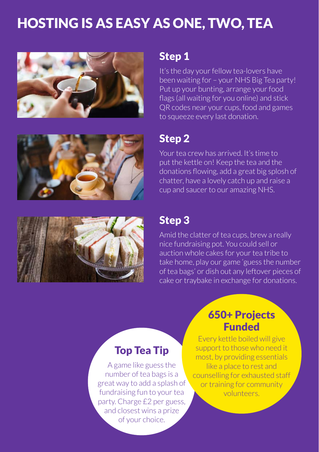# HOSTING IS AS EASY AS ONE, TWO, TEA





It's the day your fellow tea-lovers have been waiting for – your NHS Big Tea party! Put up your bunting, arrange your food flags (all waiting for you online) and stick QR codes near your cups, food and games to squeeze every last donation.



#### Step 2

Your tea crew has arrived. It's time to put the kettle on! Keep the tea and the donations flowing, add a great big splosh of chatter, have a lovely catch up and raise a cup and saucer to our amazing NHS.



#### Step 3

Amid the clatter of tea cups, brew a really nice fundraising pot. You could sell or auction whole cakes for your tea tribe to take home, play our game 'guess the number of tea bags' or dish out any leftover pieces of cake or traybake in exchange for donations.

#### Top Tea Tip

A game like guess the number of tea bags is a great way to add a splash of fundraising fun to your tea party. Charge £2 per guess, and closest wins a prize of your choice.

#### 650+ Projects Funded

Every kettle boiled will give support to those who need it most, by providing essentials like a place to rest and counselling for exhausted staff or training for community volunteers.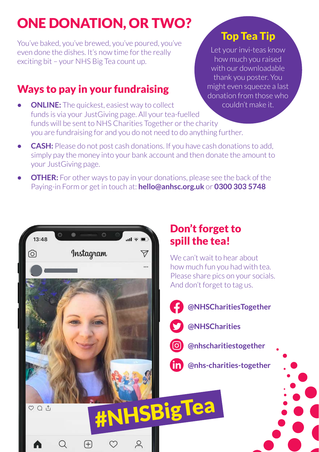# ONE DONATION, OR TWO?

You've baked, you've brewed, you've poured, you've even done the dishes. It's now time for the really exciting bit – your NHS Big Tea count up.

#### Ways to pay in your fundraising

*<u>ONLINE:* The quickest, easiest way to collect</u> funds is via your JustGiving page. All your tea-fuelled funds will be sent to NHS Charities Together or the charity you are fundraising for and you do not need to do anything further.

#### Top Tea Tip

Let your invi-teas know how much you raised with our downloadable thank you poster. You might even squeeze a last donation from those who couldn't make it.

- **• CASH:** Please do not post cash donations. If you have cash donations to add, simply pay the money into your bank account and then donate the amount to your JustGiving page.
- **•• OTHER:** For other ways to pay in your donations, please see the back of the Paying-in Form or get in touch at: **hello@anhsc.org.uk** or **0300 303 5748**



#### Don't forget to spill the tea!

We can't wait to hear about how much fun you had with tea. Please share pics on your socials. And don't forget to tag us.

#### **@NHSCharitiesTogether**

- **@NHSCharities**
- - **@nhscharitiestogether**
- **in** @nhs-charities-together